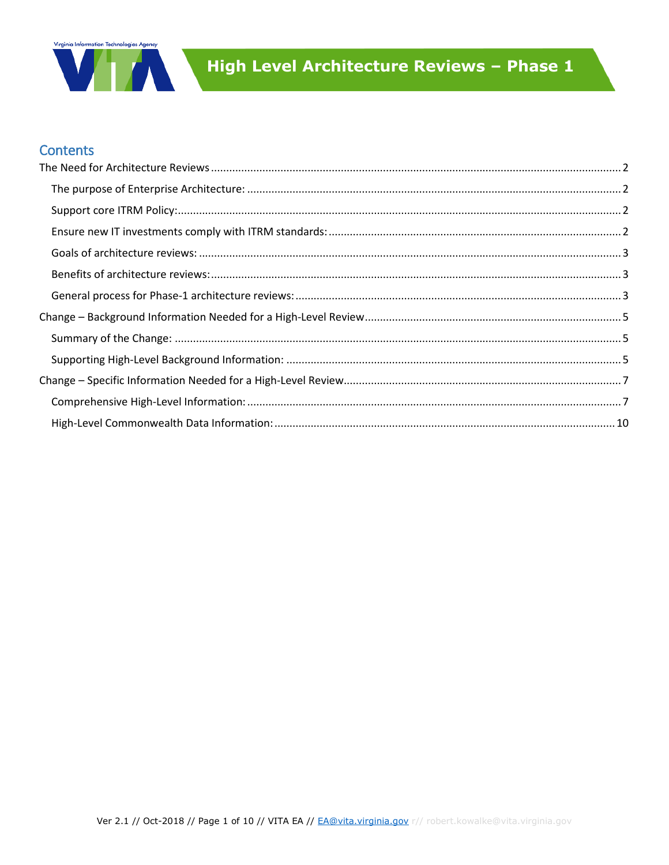

## **Contents**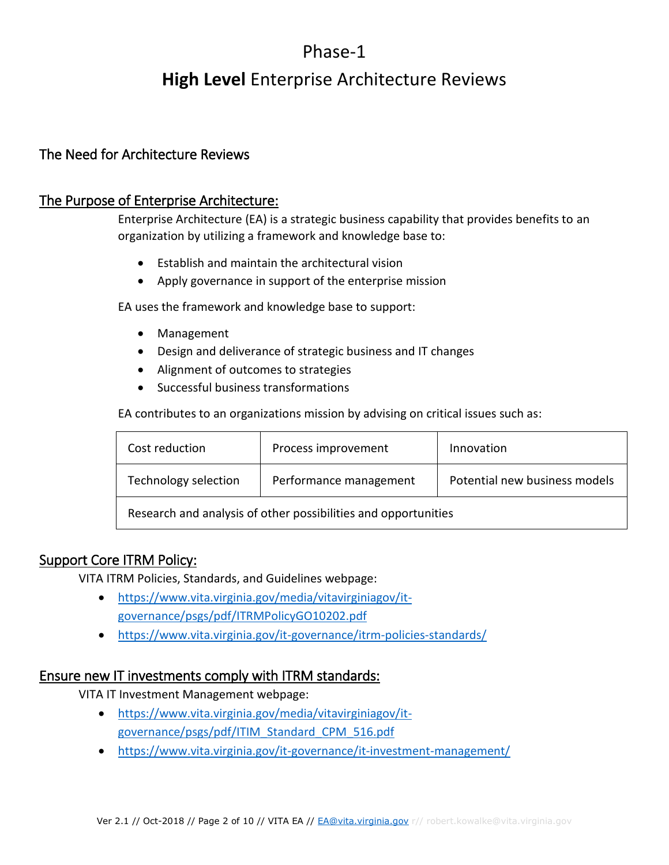## Phase-1

# **High Level** Enterprise Architecture Reviews

## <span id="page-1-0"></span>The Need for Architecture Reviews

#### <span id="page-1-1"></span>The Purpose of Enterprise Architecture:

Enterprise Architecture (EA) is a strategic business capability that provides benefits to an organization by utilizing a framework and knowledge base to:

- Establish and maintain the architectural vision
- Apply governance in support of the enterprise mission

EA uses the framework and knowledge base to support:

- Management
- Design and deliverance of strategic business and IT changes
- Alignment of outcomes to strategies
- Successful business transformations

EA contributes to an organizations mission by advising on critical issues such as:

| Cost reduction                                                 | Process improvement    | Innovation                    |
|----------------------------------------------------------------|------------------------|-------------------------------|
| Technology selection                                           | Performance management | Potential new business models |
| Research and analysis of other possibilities and opportunities |                        |                               |

#### <span id="page-1-2"></span>Support Core ITRM Policy:

VITA ITRM Policies, Standards, and Guidelines webpage:

- [https://www.vita.virginia.gov/media/vitavirginiagov/it](https://www.vita.virginia.gov/media/vitavirginiagov/it-governance/psgs/pdf/ITRMPolicyGO10202.pdf)[governance/psgs/pdf/ITRMPolicyGO10202.pdf](https://www.vita.virginia.gov/media/vitavirginiagov/it-governance/psgs/pdf/ITRMPolicyGO10202.pdf)
- <https://www.vita.virginia.gov/it-governance/itrm-policies-standards/>

#### <span id="page-1-3"></span>Ensure new IT investments comply with ITRM standards:

VITA IT Investment Management webpage:

- [https://www.vita.virginia.gov/media/vitavirginiagov/it](https://www.vita.virginia.gov/media/vitavirginiagov/it-governance/psgs/pdf/ITIM_Standard_CPM_516.pdf)[governance/psgs/pdf/ITIM\\_Standard\\_CPM\\_516.pdf](https://www.vita.virginia.gov/media/vitavirginiagov/it-governance/psgs/pdf/ITIM_Standard_CPM_516.pdf)
- <https://www.vita.virginia.gov/it-governance/it-investment-management/>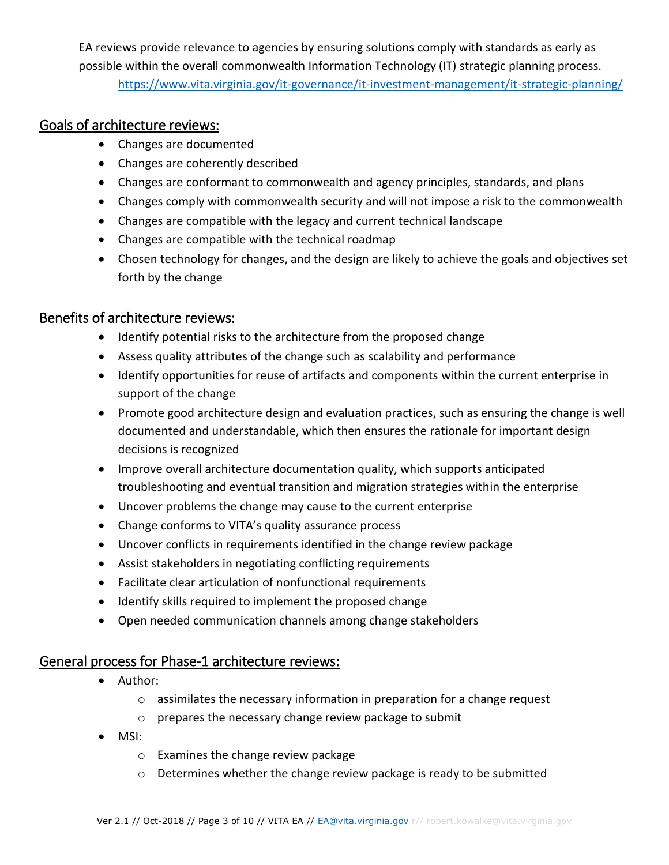EA reviews provide relevance to agencies by ensuring solutions comply with standards as early as possible within the overall commonwealth Information Technology (IT) strategic planning process. <https://www.vita.virginia.gov/it-governance/it-investment-management/it-strategic-planning/>

## <span id="page-2-0"></span>Goals of architecture reviews:

- Changes are documented
- Changes are coherently described
- Changes are conformant to commonwealth and agency principles, standards, and plans
- Changes comply with commonwealth security and will not impose a risk to the commonwealth
- Changes are compatible with the legacy and current technical landscape
- Changes are compatible with the technical roadmap
- Chosen technology for changes, and the design are likely to achieve the goals and objectives set forth by the change

#### <span id="page-2-1"></span>Benefits of architecture reviews:

- Identify potential risks to the architecture from the proposed change
- Assess quality attributes of the change such as scalability and performance
- Identify opportunities for reuse of artifacts and components within the current enterprise in support of the change
- Promote good architecture design and evaluation practices, such as ensuring the change is well documented and understandable, which then ensures the rationale for important design decisions is recognized
- Improve overall architecture documentation quality, which supports anticipated troubleshooting and eventual transition and migration strategies within the enterprise
- Uncover problems the change may cause to the current enterprise
- Change conforms to VITA's quality assurance process
- Uncover conflicts in requirements identified in the change review package
- Assist stakeholders in negotiating conflicting requirements
- Facilitate clear articulation of nonfunctional requirements
- Identify skills required to implement the proposed change
- Open needed communication channels among change stakeholders

#### <span id="page-2-2"></span>General process for Phase-1 architecture reviews:

- Author:
	- o assimilates the necessary information in preparation for a change request
	- o prepares the necessary change review package to submit
- MSI:
	- o Examines the change review package
	- $\circ$  Determines whether the change review package is ready to be submitted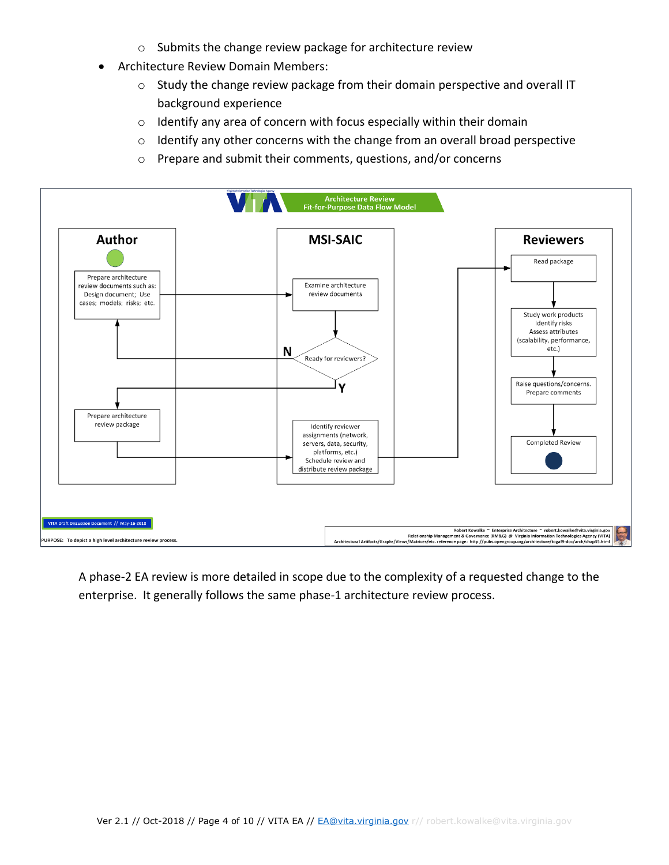- o Submits the change review package for architecture review
- Architecture Review Domain Members:
	- o Study the change review package from their domain perspective and overall IT background experience
	- o Identify any area of concern with focus especially within their domain
	- o Identify any other concerns with the change from an overall broad perspective
	- o Prepare and submit their comments, questions, and/or concerns



A phase-2 EA review is more detailed in scope due to the complexity of a requested change to the enterprise. It generally follows the same phase-1 architecture review process.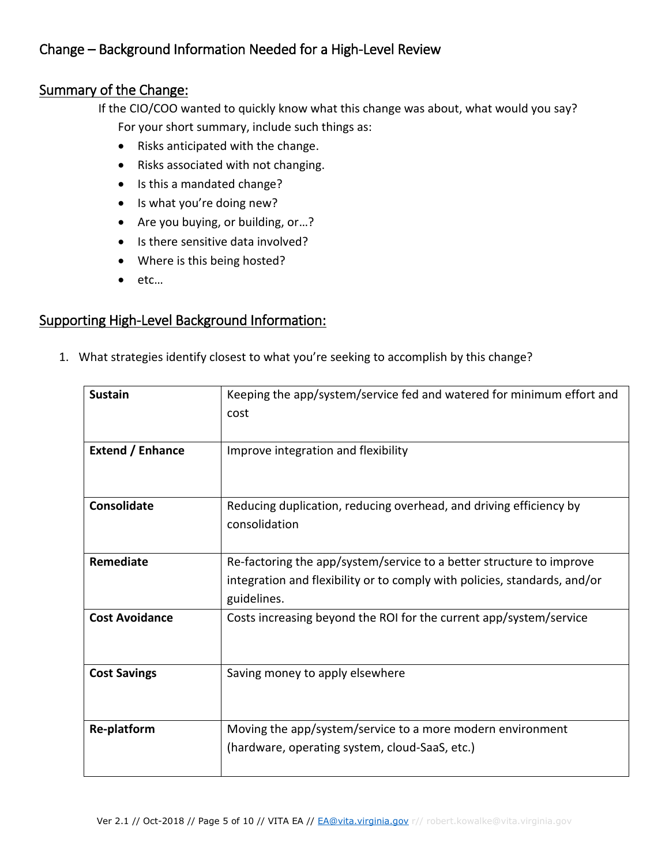## <span id="page-4-0"></span>Change – Background Information Needed for a High-Level Review

#### <span id="page-4-1"></span>Summary of the Change:

If the CIO/COO wanted to quickly know what this change was about, what would you say?

For your short summary, include such things as:

- Risks anticipated with the change.
- Risks associated with not changing.
- Is this a mandated change?
- Is what you're doing new?
- Are you buying, or building, or...?
- Is there sensitive data involved?
- Where is this being hosted?
- etc…

## <span id="page-4-2"></span>Supporting High-Level Background Information:

1. What strategies identify closest to what you're seeking to accomplish by this change?

| <b>Sustain</b>          | Keeping the app/system/service fed and watered for minimum effort and<br>cost                                                                                    |
|-------------------------|------------------------------------------------------------------------------------------------------------------------------------------------------------------|
| <b>Extend / Enhance</b> | Improve integration and flexibility                                                                                                                              |
| Consolidate             | Reducing duplication, reducing overhead, and driving efficiency by<br>consolidation                                                                              |
| Remediate               | Re-factoring the app/system/service to a better structure to improve<br>integration and flexibility or to comply with policies, standards, and/or<br>guidelines. |
| <b>Cost Avoidance</b>   | Costs increasing beyond the ROI for the current app/system/service                                                                                               |
| <b>Cost Savings</b>     | Saving money to apply elsewhere                                                                                                                                  |
| <b>Re-platform</b>      | Moving the app/system/service to a more modern environment<br>(hardware, operating system, cloud-SaaS, etc.)                                                     |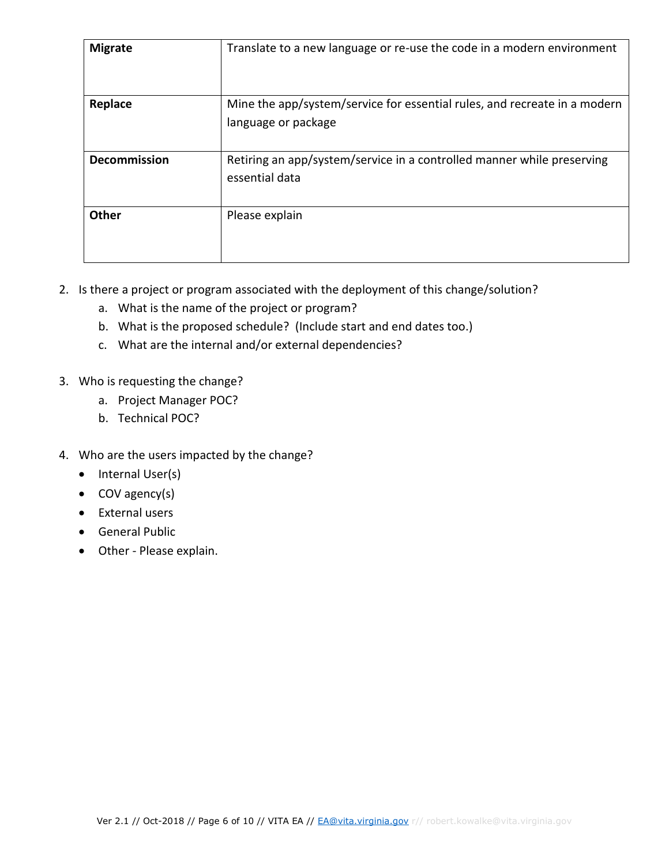| <b>Migrate</b>      | Translate to a new language or re-use the code in a modern environment                           |
|---------------------|--------------------------------------------------------------------------------------------------|
| Replace             | Mine the app/system/service for essential rules, and recreate in a modern<br>language or package |
| <b>Decommission</b> | Retiring an app/system/service in a controlled manner while preserving<br>essential data         |
| <b>Other</b>        | Please explain                                                                                   |

- 2. Is there a project or program associated with the deployment of this change/solution?
	- a. What is the name of the project or program?
	- b. What is the proposed schedule? (Include start and end dates too.)
	- c. What are the internal and/or external dependencies?
- 3. Who is requesting the change?
	- a. Project Manager POC?
	- b. Technical POC?
- 4. Who are the users impacted by the change?
	- $\bullet$  Internal User(s)
	- COV agency(s)
	- External users
	- General Public
	- Other Please explain.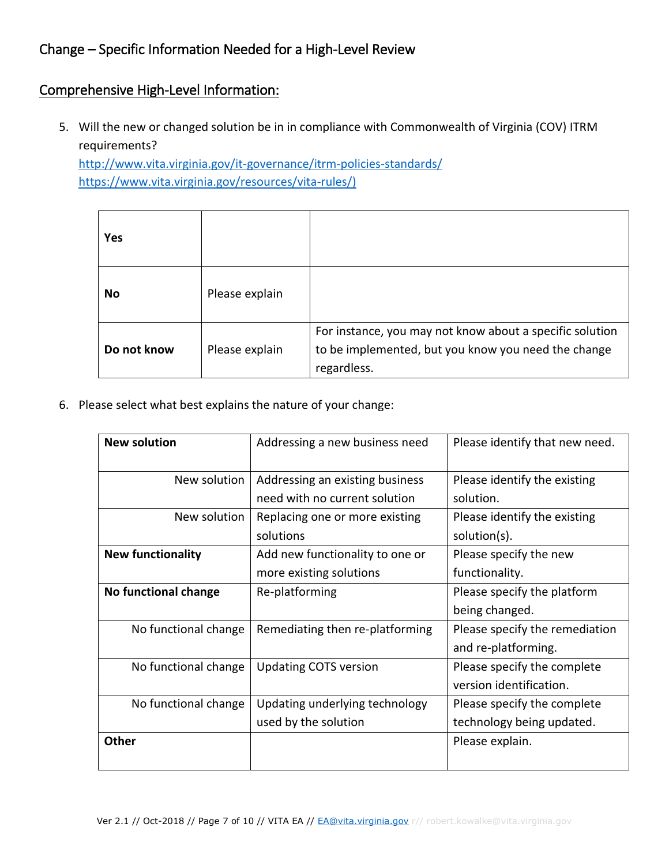## <span id="page-6-0"></span>Change – Specific Information Needed for a High-Level Review

#### <span id="page-6-1"></span>Comprehensive High-Level Information:

5. Will the new or changed solution be in in compliance with Commonwealth of Virginia (COV) ITRM requirements?

<http://www.vita.virginia.gov/it-governance/itrm-policies-standards/> [https://www.vita.virginia.gov/resources/vita-rules/\)](https://www.vita.virginia.gov/resources/vita-rules/)

| Yes         |                |                                                                                                                                |
|-------------|----------------|--------------------------------------------------------------------------------------------------------------------------------|
| No          | Please explain |                                                                                                                                |
| Do not know | Please explain | For instance, you may not know about a specific solution<br>to be implemented, but you know you need the change<br>regardless. |

6. Please select what best explains the nature of your change:

| <b>New solution</b>      | Addressing a new business need                                   | Please identify that new need.                           |
|--------------------------|------------------------------------------------------------------|----------------------------------------------------------|
| New solution             | Addressing an existing business<br>need with no current solution | Please identify the existing<br>solution.                |
| New solution             | Replacing one or more existing<br>solutions                      | Please identify the existing<br>solution(s).             |
| <b>New functionality</b> | Add new functionality to one or<br>more existing solutions       | Please specify the new<br>functionality.                 |
| No functional change     | Re-platforming                                                   | Please specify the platform<br>being changed.            |
| No functional change     | Remediating then re-platforming                                  | Please specify the remediation<br>and re-platforming.    |
| No functional change     | <b>Updating COTS version</b>                                     | Please specify the complete<br>version identification.   |
| No functional change     | Updating underlying technology<br>used by the solution           | Please specify the complete<br>technology being updated. |
| <b>Other</b>             |                                                                  | Please explain.                                          |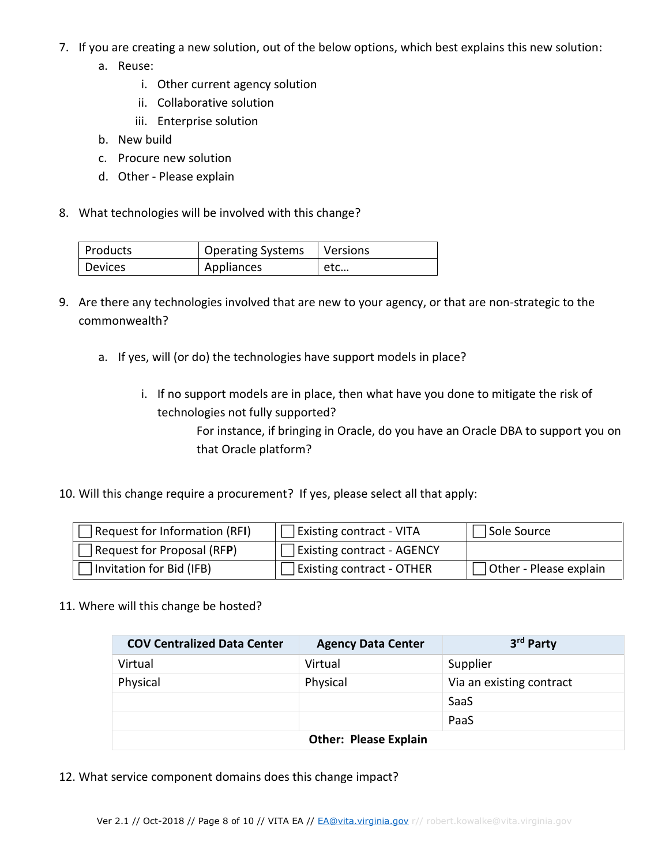- 7. If you are creating a new solution, out of the below options, which best explains this new solution:
	- a. Reuse:
		- i. Other current agency solution
		- ii. Collaborative solution
		- iii. Enterprise solution
	- b. New build
	- c. Procure new solution
	- d. Other Please explain
- 8. What technologies will be involved with this change?

| Products | Operating Systems   Versions |     |
|----------|------------------------------|-----|
| Devices  | Appliances                   | etc |

- 9. Are there any technologies involved that are new to your agency, or that are non-strategic to the commonwealth?
	- a. If yes, will (or do) the technologies have support models in place?
		- i. If no support models are in place, then what have you done to mitigate the risk of technologies not fully supported?

For instance, if bringing in Oracle, do you have an Oracle DBA to support you on that Oracle platform?

10. Will this change require a procurement? If yes, please select all that apply:

| Request for Information (RFI)                   | <b>Existing contract - VITA</b>     | Sole Source            |
|-------------------------------------------------|-------------------------------------|------------------------|
| $\sqrt{\frac{1}{2}}$ Request for Proposal (RFP) | Existing contract - AGENCY          |                        |
| Invitation for Bid (IFB)                        | $\exists$ Existing contract - OTHER | Other - Please explain |

11. Where will this change be hosted?

| <b>COV Centralized Data Center</b> | <b>Agency Data Center</b> | 3 <sup>rd</sup> Party    |
|------------------------------------|---------------------------|--------------------------|
| Virtual                            | Virtual                   | Supplier                 |
| Physical                           | Physical                  | Via an existing contract |
|                                    |                           | SaaS                     |
|                                    |                           | PaaS                     |
| <b>Other: Please Explain</b>       |                           |                          |

12. What service component domains does this change impact?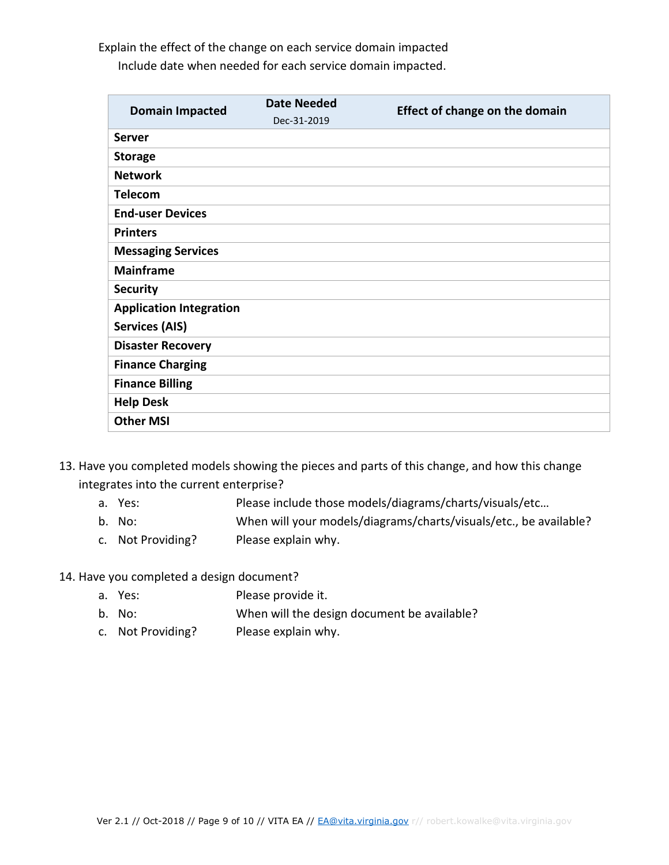Explain the effect of the change on each service domain impacted Include date when needed for each service domain impacted.

| <b>Domain Impacted</b>         | <b>Date Needed</b> | <b>Effect of change on the domain</b> |  |
|--------------------------------|--------------------|---------------------------------------|--|
|                                | Dec-31-2019        |                                       |  |
| <b>Server</b>                  |                    |                                       |  |
| <b>Storage</b>                 |                    |                                       |  |
| <b>Network</b>                 |                    |                                       |  |
| <b>Telecom</b>                 |                    |                                       |  |
| <b>End-user Devices</b>        |                    |                                       |  |
| <b>Printers</b>                |                    |                                       |  |
| <b>Messaging Services</b>      |                    |                                       |  |
| <b>Mainframe</b>               |                    |                                       |  |
| <b>Security</b>                |                    |                                       |  |
| <b>Application Integration</b> |                    |                                       |  |
| <b>Services (AIS)</b>          |                    |                                       |  |
| <b>Disaster Recovery</b>       |                    |                                       |  |
| <b>Finance Charging</b>        |                    |                                       |  |
| <b>Finance Billing</b>         |                    |                                       |  |
| <b>Help Desk</b>               |                    |                                       |  |
| <b>Other MSI</b>               |                    |                                       |  |

- 13. Have you completed models showing the pieces and parts of this change, and how this change integrates into the current enterprise?
	- a. Yes: Please include those models/diagrams/charts/visuals/etc…
	- b. No: When will your models/diagrams/charts/visuals/etc., be available?
	- c. Not Providing? Please explain why.

14. Have you completed a design document?

- a. Yes: Please provide it.
- b. No: When will the design document be available?
- c. Not Providing? Please explain why.